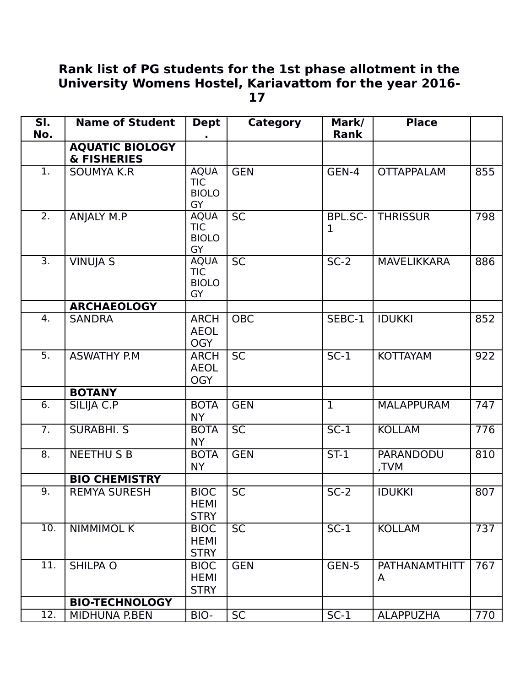## **Rank list of PG students for the 1st phase allotment in the University Womens Hostel, Kariavattom for the year 2016- 17**

| SI.<br>No.       | <b>Name of Student</b>                           | <b>Dept</b>                                            | <b>Category</b> | Mark/<br><b>Rank</b> | <b>Place</b>       |     |
|------------------|--------------------------------------------------|--------------------------------------------------------|-----------------|----------------------|--------------------|-----|
|                  | <b>AQUATIC BIOLOGY</b><br><b>&amp; FISHERIES</b> |                                                        |                 |                      |                    |     |
| $\overline{1}$ . | <b>SOUMYA K.R</b>                                | <b>AQUA</b><br><b>TIC</b><br><b>BIOLO</b><br><b>GY</b> | <b>GEN</b>      | GEN-4                | <b>OTTAPPALAM</b>  | 855 |
| $\overline{2}$ . | ANJALY M.P                                       | <b>AQUA</b><br><b>TIC</b><br><b>BIOLO</b><br><b>GY</b> | <b>SC</b>       | <b>BPL.SC-</b><br>1  | <b>THRISSUR</b>    | 798 |
| $\overline{3}$ . | <b>VINUJA S</b>                                  | <b>AQUA</b><br><b>TIC</b><br><b>BIOLO</b><br>GY        | $\overline{SC}$ | $\overline{SC-2}$    | <b>MAVELIKKARA</b> | 886 |
|                  | <b>ARCHAEOLOGY</b>                               |                                                        |                 |                      |                    |     |
| 4.               | <b>SANDRA</b>                                    | <b>ARCH</b><br><b>AEOL</b><br><b>OGY</b>               | <b>OBC</b>      | SEBC-1               | <b>IDUKKI</b>      | 852 |
| $\overline{5}$ . | <b>ASWATHY P.M.</b>                              | <b>ARCH</b><br><b>AEOL</b><br><b>OGY</b>               | <b>SC</b>       | $SC-1$               | <b>KOTTAYAM</b>    | 922 |
|                  | <b>BOTANY</b>                                    |                                                        |                 |                      |                    |     |
| 6.               | SILIJA C.P                                       | <b>BOTA</b><br><b>NY</b>                               | <b>GEN</b>      | $\mathbf{1}$         | <b>MALAPPURAM</b>  | 747 |
| 7.               | <b>SURABHI. S</b>                                | <b>BOTA</b><br><b>NY</b>                               | <b>SC</b>       | $SC-1$               | <b>KOLLAM</b>      | 776 |
| 8.               | <b>NEETHUSB</b>                                  | <b>BOTA</b><br><b>NY</b>                               | <b>GEN</b>      | $ST-1$               | PARANDODU<br>TVM,  | 810 |
|                  | <b>BIO CHEMISTRY</b>                             |                                                        |                 |                      |                    |     |
| $\overline{9}$ . | <b>REMYA SURESH</b>                              | <b>BIOC</b><br><b>HEMI</b><br><b>STRY</b>              | <b>SC</b>       | $SC-2$               | <b>IDUKKI</b>      | 807 |
| 10.              | <b>NIMMIMOL K</b>                                | <b>BIOC</b><br><b>HEMI</b><br><b>STRY</b>              | <b>SC</b>       | $SC-1$               | <b>KOLLAM</b>      | 737 |
| 11.              | <b>SHILPA O</b>                                  | <b>BIOC</b><br><b>HEMI</b><br><b>STRY</b>              | <b>GEN</b>      | GEN-5                | PATHANAMTHITT<br>A | 767 |
|                  | <b>BIO-TECHNOLOGY</b>                            |                                                        |                 |                      |                    |     |
| 12.              | <b>MIDHUNA P.BEN</b>                             | BIO-                                                   | <b>SC</b>       | $SC-1$               | <b>ALAPPUZHA</b>   | 770 |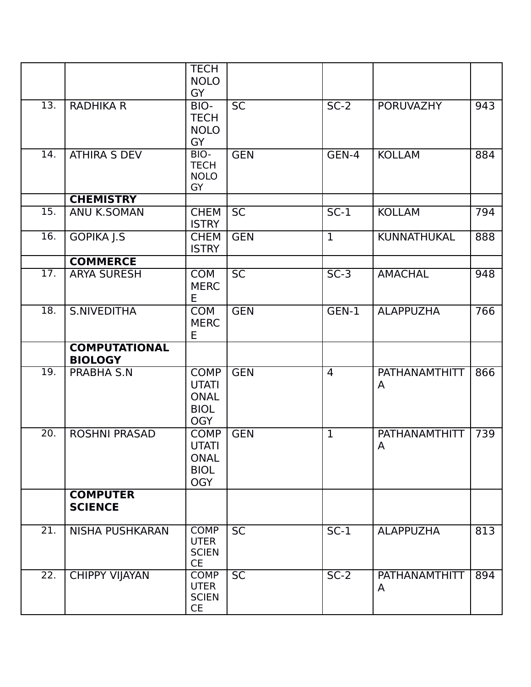|                          |                                                 | <b>TECH</b><br><b>NOLO</b><br>GY                                        |                        |                  |                                   |            |
|--------------------------|-------------------------------------------------|-------------------------------------------------------------------------|------------------------|------------------|-----------------------------------|------------|
| 13.                      | <b>RADHIKA R</b>                                | BIO-<br><b>TECH</b><br><b>NOLO</b><br><b>GY</b>                         | <b>SC</b>              | $SC-2$           | <b>PORUVAZHY</b>                  | 943        |
| 14.                      | <b>ATHIRA S DEV</b>                             | BIO-<br><b>TECH</b><br><b>NOLO</b><br>GY                                | <b>GEN</b>             | GEN-4            | <b>KOLLAM</b>                     | 884        |
|                          | <b>CHEMISTRY</b>                                |                                                                         |                        |                  |                                   |            |
| $\overline{15}$ .        | <b>ANU K.SOMAN</b>                              | <b>CHEM</b><br><b>ISTRY</b>                                             | <b>SC</b>              | $SC-1$           | <b>KOLLAM</b>                     | 794        |
| 16.                      | <b>GOPIKA J.S</b>                               | <b>CHEM</b><br><b>ISTRY</b>                                             | <b>GEN</b>             | $\overline{1}$   | <b>KUNNATHUKAL</b>                | 888        |
|                          | <b>COMMERCE</b>                                 |                                                                         |                        |                  |                                   |            |
| $\overline{17}$ .        | <b>ARYA SURESH</b>                              | <b>COM</b><br><b>MERC</b><br>E                                          | $\overline{SC}$        | $SC-3$           | <b>AMACHAL</b>                    | 948        |
| $\overline{18}$ .        | S.NIVEDITHA                                     | <b>COM</b><br><b>MERC</b><br>E                                          | <b>GEN</b>             | GEN-1            | <b>ALAPPUZHA</b>                  | 766        |
|                          | <b>COMPUTATIONAL</b><br><b>BIOLOGY</b>          |                                                                         |                        |                  |                                   |            |
|                          |                                                 |                                                                         |                        |                  |                                   |            |
| $\overline{19}$ .        | <b>PRABHA S.N</b>                               | <b>COMP</b><br><b>UTATI</b><br><b>ONAL</b><br><b>BIOL</b><br><b>OGY</b> | <b>GEN</b>             | $\overline{4}$   | PATHANAMTHITT<br>A                | 866        |
| 20.                      | <b>ROSHNI PRASAD</b>                            | <b>COMP</b><br><b>UTATI</b><br><b>ONAL</b><br><b>BIOL</b><br><b>OGY</b> | <b>GEN</b>             | $\mathbf{1}$     | <b>PATHANAMTHITT</b><br>A         | 739        |
|                          | <b>COMPUTER</b><br><b>SCIENCE</b>               |                                                                         |                        |                  |                                   |            |
| 21.<br>$\overline{22}$ . | <b>NISHA PUSHKARAN</b><br><b>CHIPPY VIJAYAN</b> | <b>COMP</b><br><b>UTER</b><br><b>SCIEN</b><br><b>CE</b><br><b>COMP</b>  | <b>SC</b><br><b>SC</b> | $SC-1$<br>$SC-2$ | <b>ALAPPUZHA</b><br>PATHANAMTHITT | 813<br>894 |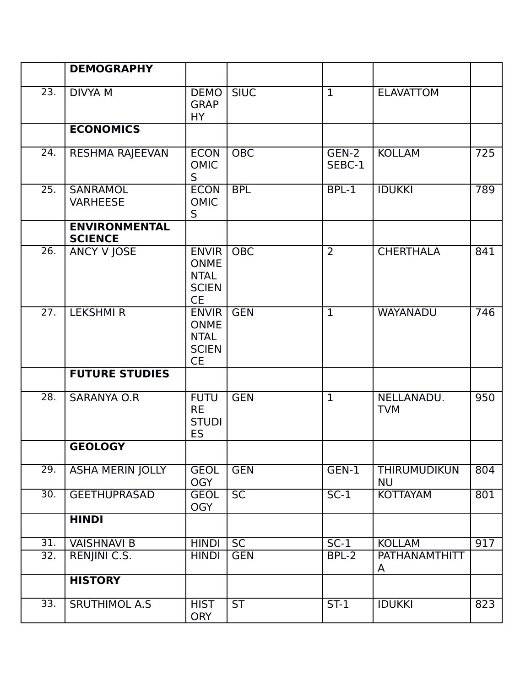|                   | <b>DEMOGRAPHY</b>                      |                                                                         |                  |                 |                                  |                  |
|-------------------|----------------------------------------|-------------------------------------------------------------------------|------------------|-----------------|----------------------------------|------------------|
| $\overline{23}$ . | <b>DIVYA M</b>                         | <b>DEMO</b><br><b>GRAP</b><br><b>HY</b>                                 | <b>SIUC</b>      | $\overline{1}$  | <b>ELAVATTOM</b>                 |                  |
|                   | <b>ECONOMICS</b>                       |                                                                         |                  |                 |                                  |                  |
| 24.               | RESHMA RAJEEVAN                        | <b>ECON</b><br><b>OMIC</b><br>S                                         | $\overline{OBC}$ | GEN-2<br>SEBC-1 | <b>KOLLAM</b>                    | $\overline{725}$ |
| 25.               | <b>SANRAMOL</b><br><b>VARHEESE</b>     | <b>ECON</b><br><b>OMIC</b><br>S                                         | <b>BPL</b>       | BPL-1           | <b>IDUKKI</b>                    | 789              |
|                   | <b>ENVIRONMENTAL</b><br><b>SCIENCE</b> |                                                                         |                  |                 |                                  |                  |
| 26.               | ANCY V JOSE                            | <b>ENVIR</b><br><b>ONME</b><br><b>NTAL</b><br><b>SCIEN</b><br><b>CE</b> | <b>OBC</b>       | $\overline{2}$  | <b>CHERTHALA</b>                 | 841              |
| $\overline{27}$ . | <b>LEKSHMI R</b>                       | <b>ENVIR</b><br><b>ONME</b><br><b>NTAL</b><br><b>SCIEN</b><br><b>CE</b> | <b>GEN</b>       | $\mathbf{1}$    | <b>WAYANADU</b>                  | 746              |
|                   | <b>FUTURE STUDIES</b>                  |                                                                         |                  |                 |                                  |                  |
| 28.               | <b>SARANYA O.R</b>                     | <b>FUTU</b><br><b>RE</b><br><b>STUDI</b><br><b>ES</b>                   | <b>GEN</b>       | $\mathbf{1}$    | NELLANADU.<br><b>TVM</b>         | 950              |
|                   | <b>GEOLOGY</b>                         |                                                                         |                  |                 |                                  |                  |
| 29.               | <b>ASHA MERIN JOLLY</b>                | <b>GEOL</b><br><b>OGY</b>                                               | <b>GEN</b>       | GEN-1           | <b>THIRUMUDIKUN</b><br><b>NU</b> | 804              |
| $\overline{30}$ . | <b>GEETHUPRASAD</b>                    | <b>GEOL</b><br><b>OGY</b>                                               | <b>SC</b>        | $SC-1$          | <b>KOTTAYAM</b>                  | 801              |
|                   | <b>HINDI</b>                           |                                                                         |                  |                 |                                  |                  |
| $\overline{31}$ . | <b>VAISHNAVI B</b>                     | <b>HINDI</b>                                                            | <b>SC</b>        | $SC-1$          | <b>KOLLAM</b>                    | 917              |
| 32.               | RENJINI C.S.                           | <b>HINDI</b>                                                            | <b>GEN</b>       | BPL-2           | <b>PATHANAMTHITT</b><br>A        |                  |
|                   | <b>HISTORY</b>                         |                                                                         |                  |                 |                                  |                  |
| 33.               | <b>SRUTHIMOL A.S</b>                   | <b>HIST</b><br><b>ORY</b>                                               | ST               | $ST-1$          | <b>IDUKKI</b>                    | 823              |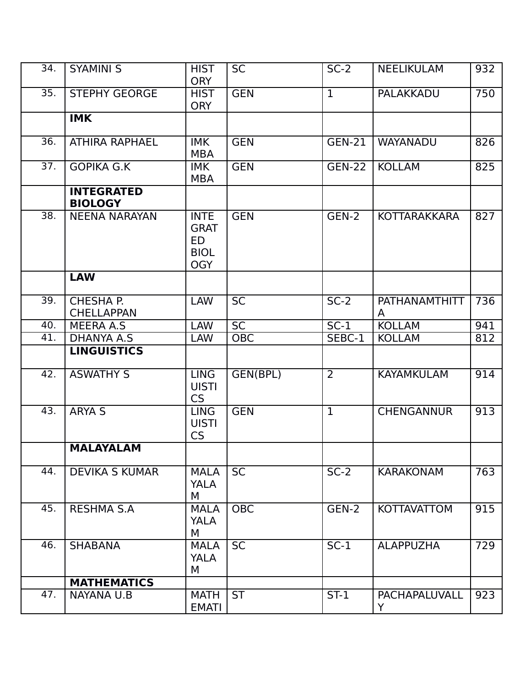| 34.               | <b>SYAMINI S</b>                    | <b>HIST</b><br><b>ORY</b>                                     | <b>SC</b>       | $SC-2$         | <b>NEELIKULAM</b>         | 932 |
|-------------------|-------------------------------------|---------------------------------------------------------------|-----------------|----------------|---------------------------|-----|
| 35.               | <b>STEPHY GEORGE</b>                | <b>HIST</b><br><b>ORY</b>                                     | <b>GEN</b>      | $\mathbf{1}$   | <b>PALAKKADU</b>          | 750 |
|                   | <b>IMK</b>                          |                                                               |                 |                |                           |     |
| 36.               | <b>ATHIRA RAPHAEL</b>               | <b>IMK</b><br><b>MBA</b>                                      | <b>GEN</b>      | <b>GEN-21</b>  | <b>WAYANADU</b>           | 826 |
| $\overline{37}$ . | <b>GOPIKA G.K</b>                   | <b>IMK</b><br><b>MBA</b>                                      | <b>GEN</b>      | <b>GEN-22</b>  | <b>KOLLAM</b>             | 825 |
|                   | <b>INTEGRATED</b><br><b>BIOLOGY</b> |                                                               |                 |                |                           |     |
| $\overline{38}$ . | <b>NEENA NARAYAN</b>                | <b>INTE</b><br><b>GRAT</b><br>ED<br><b>BIOL</b><br><b>OGY</b> | <b>GEN</b>      | GEN-2          | <b>KOTTARAKKARA</b>       | 827 |
|                   | <b>LAW</b>                          |                                                               |                 |                |                           |     |
| 39.               | CHESHA P.<br><b>CHELLAPPAN</b>      | <b>LAW</b>                                                    | <b>SC</b>       | $SC-2$         | <b>PATHANAMTHITT</b><br>A | 736 |
| 40.               | MEERA A.S                           | <b>LAW</b>                                                    | $\overline{SC}$ | $SC-1$         | <b>KOLLAM</b>             | 941 |
| 41.               | DHANYA A.S                          | <b>LAW</b>                                                    | <b>OBC</b>      | SEBC-1         | <b>KOLLAM</b>             | 812 |
|                   | <b>LINGUISTICS</b>                  |                                                               |                 |                |                           |     |
| 42.               | <b>ASWATHY S</b>                    | <b>LING</b><br><b>UISTI</b><br><b>CS</b>                      | GEN(BPL)        | $\overline{2}$ | <b>KAYAMKULAM</b>         | 914 |
| 43.               | ARYA S                              | <b>LING</b><br><b>UISTI</b><br><b>CS</b>                      | <b>GEN</b>      | $\mathbf{1}$   | <b>CHENGANNUR</b>         | 913 |
|                   | <b>MALAYALAM</b>                    |                                                               |                 |                |                           |     |
| 44.               | <b>DEVIKA S KUMAR</b>               | <b>MALA</b><br><b>YALA</b><br>м                               | $\overline{SC}$ | $SC-2$         | <b>KARAKONAM</b>          | 763 |
| 45.               | <b>RESHMA S.A</b>                   | <b>MALA</b><br><b>YALA</b><br>М                               | <b>OBC</b>      | GEN-2          | <b>KOTTAVATTOM</b>        | 915 |
| 46.               | <b>SHABANA</b>                      | <b>MALA</b><br><b>YALA</b><br>М                               | <b>SC</b>       | $SC-1$         | <b>ALAPPUZHA</b>          | 729 |
|                   | <b>MATHEMATICS</b>                  |                                                               |                 |                |                           |     |
| 47.               | NAYANA U.B                          | <b>MATH</b><br><b>EMATI</b>                                   | <b>ST</b>       | $ST-1$         | PACHAPALUVALL<br>Y        | 923 |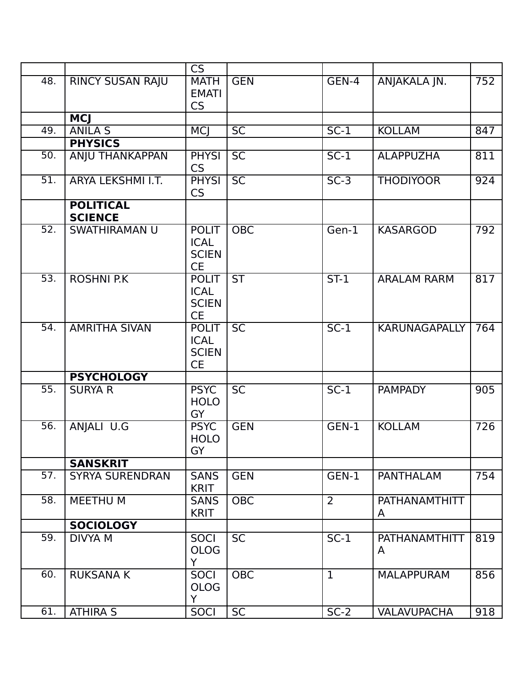|                   |                                    | CS                                                       |                 |                |                           |                  |
|-------------------|------------------------------------|----------------------------------------------------------|-----------------|----------------|---------------------------|------------------|
| 48.               | <b>RINCY SUSAN RAJU</b>            | <b>MATH</b><br><b>EMATI</b><br>CS                        | <b>GEN</b>      | GEN-4          | ANJAKALA JN.              | 752              |
|                   | <b>MCJ</b>                         |                                                          |                 |                |                           |                  |
| 49.               | ANILA <sub>S</sub>                 | <b>MCJ</b>                                               | <b>SC</b>       | $SC-1$         | <b>KOLLAM</b>             | 847              |
|                   | <b>PHYSICS</b>                     |                                                          |                 |                |                           |                  |
| 50.               | ANJU THANKAPPAN                    | <b>PHYSI</b><br><b>CS</b>                                | <b>SC</b>       | $SC-1$         | <b>ALAPPUZHA</b>          | 811              |
| $\overline{51}$ . | <b>ARYA LEKSHMI I.T.</b>           | <b>PHYSI</b><br>CS                                       | $\overline{SC}$ | $SC-3$         | <b>THODIYOOR</b>          | $\overline{924}$ |
|                   | <b>POLITICAL</b><br><b>SCIENCE</b> |                                                          |                 |                |                           |                  |
| 52.               | <b>SWATHIRAMAN U</b>               | <b>POLIT</b><br><b>ICAL</b><br><b>SCIEN</b><br><b>CE</b> | <b>OBC</b>      | Gen-1          | <b>KASARGOD</b>           | 792              |
| $\overline{53}$ . | <b>ROSHNI P.K</b>                  | <b>POLIT</b><br><b>ICAL</b><br><b>SCIEN</b><br><b>CE</b> | <b>ST</b>       | $ST-1$         | <b>ARALAM RARM</b>        | 817              |
| 54.               | <b>AMRITHA SIVAN</b>               | <b>POLIT</b><br><b>ICAL</b><br><b>SCIEN</b><br><b>CE</b> | <b>SC</b>       | $SC-1$         | <b>KARUNAGAPALLY</b>      | 764              |
|                   | <b>PSYCHOLOGY</b>                  |                                                          |                 |                |                           |                  |
| $\overline{55}$ . | <b>SURYA R</b>                     | <b>PSYC</b><br><b>HOLO</b><br>GY                         | <b>SC</b>       | $SC-1$         | <b>PAMPADY</b>            | 905              |
| 56.               | ANJALI U.G                         | <b>PSYC</b><br><b>HOLO</b><br>GY                         | <b>GEN</b>      | $GEN-1$        | <b>KOLLAM</b>             | 726              |
|                   | <b>SANSKRIT</b>                    |                                                          |                 |                |                           |                  |
| 57.               | <b>SYRYA SURENDRAN</b>             | <b>SANS</b><br><b>KRIT</b>                               | <b>GEN</b>      | GEN-1          | <b>PANTHALAM</b>          | 754              |
| 58.               | MEETHU M                           | <b>SANS</b><br><b>KRIT</b>                               | <b>OBC</b>      | $\overline{2}$ | PATHANAMTHITT<br>A        |                  |
|                   | <b>SOCIOLOGY</b>                   |                                                          |                 |                |                           |                  |
| 59.               | <b>DIVYA M</b>                     | <b>SOCI</b><br><b>OLOG</b><br>Y.                         | <b>SC</b>       | $SC-1$         | <b>PATHANAMTHITT</b><br>A | 819              |
| 60.               | <b>RUKSANA K</b>                   | <b>SOCI</b><br><b>OLOG</b><br>Y                          | <b>OBC</b>      | $\mathbf{1}$   | <b>MALAPPURAM</b>         | 856              |
| 61.               | <b>ATHIRA S</b>                    | <b>SOCI</b>                                              | <b>SC</b>       | $SC-2$         | <b>VALAVUPACHA</b>        | 918              |
|                   |                                    |                                                          |                 |                |                           |                  |